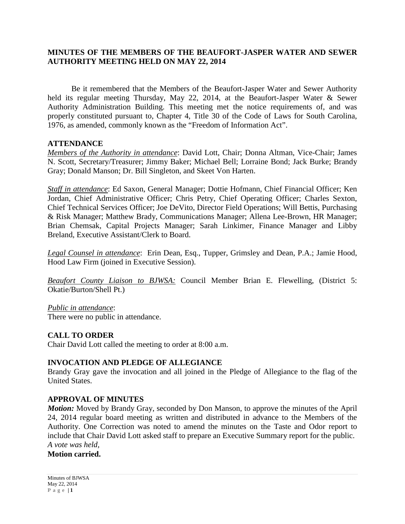## **MINUTES OF THE MEMBERS OF THE BEAUFORT-JASPER WATER AND SEWER AUTHORITY MEETING HELD ON MAY 22, 2014**

Be it remembered that the Members of the Beaufort-Jasper Water and Sewer Authority held its regular meeting Thursday, May 22, 2014, at the Beaufort-Jasper Water & Sewer Authority Administration Building. This meeting met the notice requirements of, and was properly constituted pursuant to, Chapter 4, Title 30 of the Code of Laws for South Carolina, 1976, as amended, commonly known as the "Freedom of Information Act".

#### **ATTENDANCE**

*Members of the Authority in attendance*: David Lott, Chair; Donna Altman, Vice-Chair; James N. Scott, Secretary/Treasurer; Jimmy Baker; Michael Bell; Lorraine Bond; Jack Burke; Brandy Gray; Donald Manson; Dr. Bill Singleton, and Skeet Von Harten.

*Staff in attendance*: Ed Saxon, General Manager; Dottie Hofmann, Chief Financial Officer; Ken Jordan, Chief Administrative Officer; Chris Petry, Chief Operating Officer; Charles Sexton, Chief Technical Services Officer; Joe DeVito, Director Field Operations; Will Bettis, Purchasing & Risk Manager; Matthew Brady, Communications Manager; Allena Lee-Brown, HR Manager; Brian Chemsak, Capital Projects Manager; Sarah Linkimer, Finance Manager and Libby Breland, Executive Assistant/Clerk to Board.

*Legal Counsel in attendance*: Erin Dean, Esq., Tupper, Grimsley and Dean, P.A.; Jamie Hood, Hood Law Firm (joined in Executive Session).

*Beaufort County Liaison to BJWSA:* Council Member Brian E. Flewelling, (District 5: Okatie/Burton/Shell Pt.)

*Public in attendance*: There were no public in attendance.

## **CALL TO ORDER**

Chair David Lott called the meeting to order at 8:00 a.m.

## **INVOCATION AND PLEDGE OF ALLEGIANCE**

Brandy Gray gave the invocation and all joined in the Pledge of Allegiance to the flag of the United States.

## **APPROVAL OF MINUTES**

*Motion:* Moved by Brandy Gray, seconded by Don Manson, to approve the minutes of the April 24, 2014 regular board meeting as written and distributed in advance to the Members of the Authority. One Correction was noted to amend the minutes on the Taste and Odor report to include that Chair David Lott asked staff to prepare an Executive Summary report for the public. *A vote was held,* 

**Motion carried.**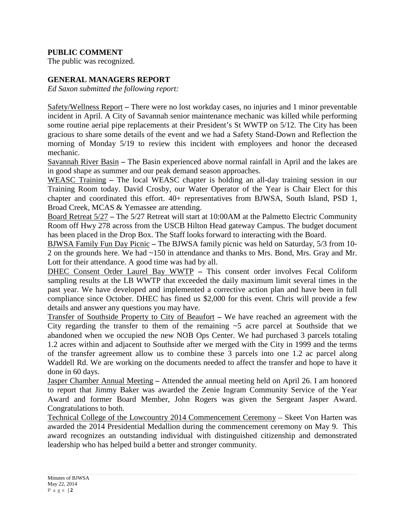## **PUBLIC COMMENT**

The public was recognized.

#### **GENERAL MANAGERS REPORT**

*Ed Saxon submitted the following report:*

Safety/Wellness Report **–** There were no lost workday cases, no injuries and 1 minor preventable incident in April. A City of Savannah senior maintenance mechanic was killed while performing some routine aerial pipe replacements at their President's St WWTP on 5/12. The City has been gracious to share some details of the event and we had a Safety Stand-Down and Reflection the morning of Monday 5/19 to review this incident with employees and honor the deceased mechanic.

Savannah River Basin **–** The Basin experienced above normal rainfall in April and the lakes are in good shape as summer and our peak demand season approaches.

WEASC Training **–** The local WEASC chapter is holding an all-day training session in our Training Room today. David Crosby, our Water Operator of the Year is Chair Elect for this chapter and coordinated this effort. 40+ representatives from BJWSA, South Island, PSD 1, Broad Creek, MCAS & Yemassee are attending.

Board Retreat 5/27 **–** The 5/27 Retreat will start at 10:00AM at the Palmetto Electric Community Room off Hwy 278 across from the USCB Hilton Head gateway Campus. The budget document has been placed in the Drop Box. The Staff looks forward to interacting with the Board.

BJWSA Family Fun Day Picnic **–** The BJWSA family picnic was held on Saturday, 5/3 from 10- 2 on the grounds here. We had ~150 in attendance and thanks to Mrs. Bond, Mrs. Gray and Mr. Lott for their attendance. A good time was had by all.

DHEC Consent Order Laurel Bay WWTP **–** This consent order involves Fecal Coliform sampling results at the LB WWTP that exceeded the daily maximum limit several times in the past year. We have developed and implemented a corrective action plan and have been in full compliance since October. DHEC has fined us \$2,000 for this event. Chris will provide a few details and answer any questions you may have.

Transfer of Southside Property to City of Beaufort **–** We have reached an agreement with the City regarding the transfer to them of the remaining  $\sim$  5 acre parcel at Southside that we abandoned when we occupied the new NOB Ops Center. We had purchased 3 parcels totaling 1.2 acres within and adjacent to Southside after we merged with the City in 1999 and the terms of the transfer agreement allow us to combine these 3 parcels into one 1.2 ac parcel along Waddell Rd. We are working on the documents needed to affect the transfer and hope to have it done in 60 days.

Jasper Chamber Annual Meeting **–** Attended the annual meeting held on April 26. I am honored to report that Jimmy Baker was awarded the Zenie Ingram Community Service of the Year Award and former Board Member, John Rogers was given the Sergeant Jasper Award. Congratulations to both.

Technical College of the Lowcountry 2014 Commencement Ceremony – Skeet Von Harten was awarded the 2014 Presidential Medallion during the commencement ceremony on May 9. This award recognizes an outstanding individual with distinguished citizenship and demonstrated leadership who has helped build a better and stronger community.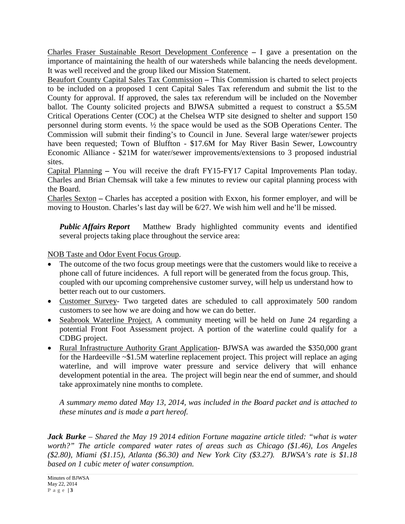Charles Fraser Sustainable Resort Development Conference **–** I gave a presentation on the importance of maintaining the health of our watersheds while balancing the needs development. It was well received and the group liked our Mission Statement.

Beaufort County Capital Sales Tax Commission **–** This Commission is charted to select projects to be included on a proposed 1 cent Capital Sales Tax referendum and submit the list to the County for approval. If approved, the sales tax referendum will be included on the November ballot. The County solicited projects and BJWSA submitted a request to construct a \$5.5M Critical Operations Center (COC) at the Chelsea WTP site designed to shelter and support 150 personnel during storm events. ½ the space would be used as the SOB Operations Center. The Commission will submit their finding's to Council in June. Several large water/sewer projects have been requested; Town of Bluffton - \$17.6M for May River Basin Sewer, Lowcountry Economic Alliance - \$21M for water/sewer improvements/extensions to 3 proposed industrial sites.

Capital Planning **–** You will receive the draft FY15-FY17 Capital Improvements Plan today. Charles and Brian Chemsak will take a few minutes to review our capital planning process with the Board.

Charles Sexton **–** Charles has accepted a position with Exxon, his former employer, and will be moving to Houston. Charles's last day will be 6/27. We wish him well and he'll be missed.

*Public Affairs Report* Matthew Brady highlighted community events and identified several projects taking place throughout the service area:

# NOB Taste and Odor Event Focus Group.

- The outcome of the two focus group meetings were that the customers would like to receive a phone call of future incidences. A full report will be generated from the focus group. This, coupled with our upcoming comprehensive customer survey, will help us understand how to better reach out to our customers.
- Customer Survey- Two targeted dates are scheduled to call approximately 500 random customers to see how we are doing and how we can do better.
- Seabrook Waterline Project. A community meeting will be held on June 24 regarding a potential Front Foot Assessment project. A portion of the waterline could qualify for a CDBG project.
- Rural Infrastructure Authority Grant Application- BJWSA was awarded the \$350,000 grant for the Hardeeville ~\$1.5M waterline replacement project. This project will replace an aging waterline, and will improve water pressure and service delivery that will enhance development potential in the area. The project will begin near the end of summer, and should take approximately nine months to complete.

*A summary memo dated May 13, 2014, was included in the Board packet and is attached to these minutes and is made a part hereof.*

*Jack Burke – Shared the May 19 2014 edition Fortune magazine article titled: "what is water worth?" The article compared water rates of areas such as Chicago (\$1.46), Los Angeles (\$2.80), Miami (\$1.15), Atlanta (\$6.30) and New York City (\$3.27). BJWSA's rate is \$1.18 based on 1 cubic meter of water consumption.*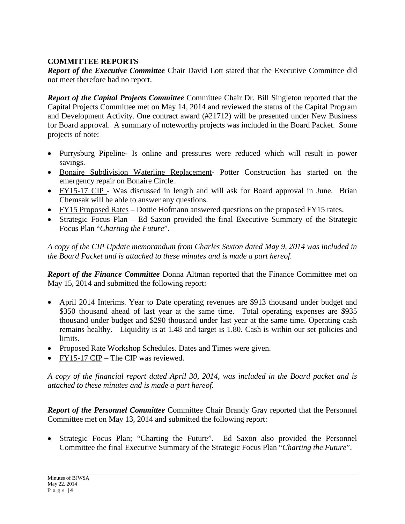# **COMMITTEE REPORTS**

*Report of the Executive Committee* Chair David Lott stated that the Executive Committee did not meet therefore had no report.

*Report of the Capital Projects Committee* Committee Chair Dr. Bill Singleton reported that the Capital Projects Committee met on May 14, 2014 and reviewed the status of the Capital Program and Development Activity. One contract award (#21712) will be presented under New Business for Board approval. A summary of noteworthy projects was included in the Board Packet. Some projects of note:

- Purrysburg Pipeline- Is online and pressures were reduced which will result in power savings.
- Bonaire Subdivision Waterline Replacement- Potter Construction has started on the emergency repair on Bonaire Circle.
- FY15-17 CIP Was discussed in length and will ask for Board approval in June. Brian Chemsak will be able to answer any questions.
- FY15 Proposed Rates Dottie Hofmann answered questions on the proposed FY15 rates.
- Strategic Focus Plan Ed Saxon provided the final Executive Summary of the Strategic Focus Plan "*Charting the Future*".

*A copy of the CIP Update memorandum from Charles Sexton dated May 9, 2014 was included in the Board Packet and is attached to these minutes and is made a part hereof.*

*Report of the Finance Committee* Donna Altman reported that the Finance Committee met on May 15, 2014 and submitted the following report:

- April 2014 Interims. Year to Date operating revenues are \$913 thousand under budget and \$350 thousand ahead of last year at the same time. Total operating expenses are \$935 thousand under budget and \$290 thousand under last year at the same time. Operating cash remains healthy. Liquidity is at 1.48 and target is 1.80. Cash is within our set policies and limits.
- Proposed Rate Workshop Schedules. Dates and Times were given.
- FY15-17 CIP The CIP was reviewed.

*A copy of the financial report dated April 30, 2014, was included in the Board packet and is attached to these minutes and is made a part hereof.*

*Report of the Personnel Committee* Committee Chair Brandy Gray reported that the Personnel Committee met on May 13, 2014 and submitted the following report:

Strategic Focus Plan; "Charting the Future". Ed Saxon also provided the Personnel Committee the final Executive Summary of the Strategic Focus Plan "*Charting the Future*".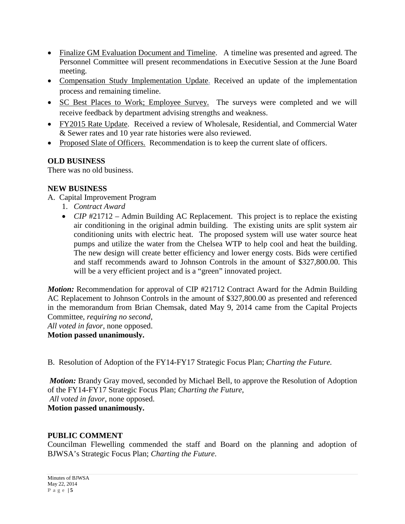- Finalize GM Evaluation Document and Timeline. A timeline was presented and agreed. The Personnel Committee will present recommendations in Executive Session at the June Board meeting.
- Compensation Study Implementation Update. Received an update of the implementation process and remaining timeline.
- SC Best Places to Work; Employee Survey. The surveys were completed and we will receive feedback by department advising strengths and weakness.
- FY2015 Rate Update. Received a review of Wholesale, Residential, and Commercial Water & Sewer rates and 10 year rate histories were also reviewed.
- Proposed Slate of Officers. Recommendation is to keep the current slate of officers.

## **OLD BUSINESS**

There was no old business.

## **NEW BUSINESS**

- A. Capital Improvement Program
	- 1. *Contract Award*
	- *CIP* #21712 Admin Building AC Replacement. This project is to replace the existing air conditioning in the original admin building. The existing units are split system air conditioning units with electric heat. The proposed system will use water source heat pumps and utilize the water from the Chelsea WTP to help cool and heat the building. The new design will create better efficiency and lower energy costs. Bids were certified and staff recommends award to Johnson Controls in the amount of \$327,800.00. This will be a very efficient project and is a "green" innovated project.

*Motion:* Recommendation for approval of CIP #21712 Contract Award for the Admin Building AC Replacement to Johnson Controls in the amount of \$327,800.00 as presented and referenced in the memorandum from Brian Chemsak, dated May 9, 2014 came from the Capital Projects Committee, *requiring no second*,

*All voted in favor*, none opposed.

**Motion passed unanimously.**

B. Resolution of Adoption of the FY14-FY17 Strategic Focus Plan; *Charting the Future.*

*Motion:* Brandy Gray moved, seconded by Michael Bell, to approve the Resolution of Adoption of the FY14-FY17 Strategic Focus Plan; *Charting the Future*, *All voted in favor*, none opposed.

**Motion passed unanimously.**

## **PUBLIC COMMENT**

Councilman Flewelling commended the staff and Board on the planning and adoption of BJWSA's Strategic Focus Plan; *Charting the Future*.